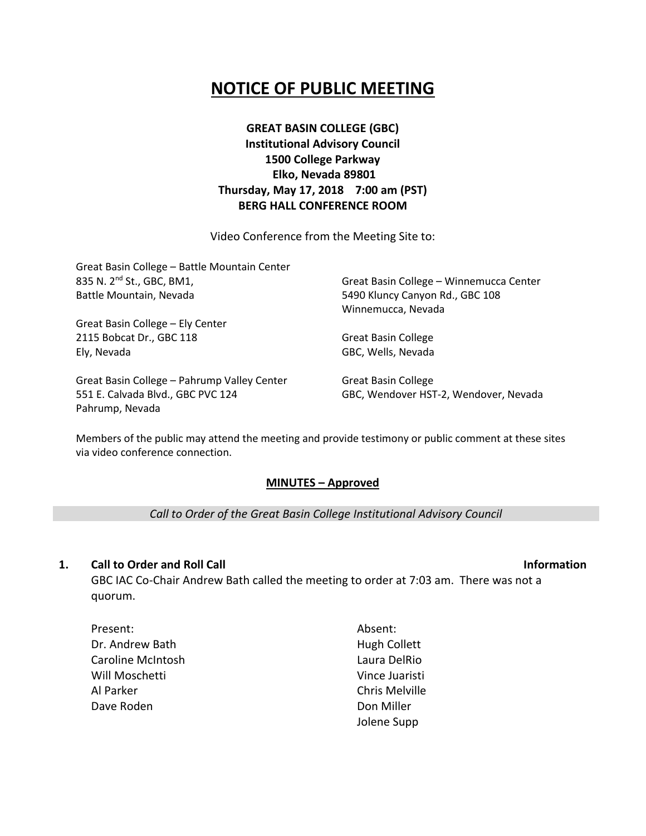# **NOTICE OF PUBLIC MEETING**

**GREAT BASIN COLLEGE (GBC) Institutional Advisory Council 1500 College Parkway Elko, Nevada 89801 Thursday, May 17, 2018 7:00 am (PST) BERG HALL CONFERENCE ROOM**

Video Conference from the Meeting Site to:

Great Basin College – Battle Mountain Center 835 N. 2nd St., GBC, BM1, Battle Mountain, Nevada Great Basin College – Ely Center 2115 Bobcat Dr., GBC 118 Ely, Nevada Great Basin College – Winnemucca Center 5490 Kluncy Canyon Rd., GBC 108 Winnemucca, Nevada Great Basin College GBC, Wells, Nevada

Great Basin College – Pahrump Valley Center 551 E. Calvada Blvd., GBC PVC 124 Pahrump, Nevada

Great Basin College GBC, Wendover HST-2, Wendover, Nevada

Members of the public may attend the meeting and provide testimony or public comment at these sites via video conference connection.

#### **MINUTES – Approved**

*Call to Order of the Great Basin College Institutional Advisory Council*

#### **1. Call to Order and Roll Call Information**

GBC IAC Co-Chair Andrew Bath called the meeting to order at 7:03 am. There was not a quorum.

Present: Dr. Andrew Bath Caroline McIntosh Will Moschetti Al Parker Dave Roden

Absent: Hugh Collett Laura DelRio Vince Juaristi Chris Melville Don Miller Jolene Supp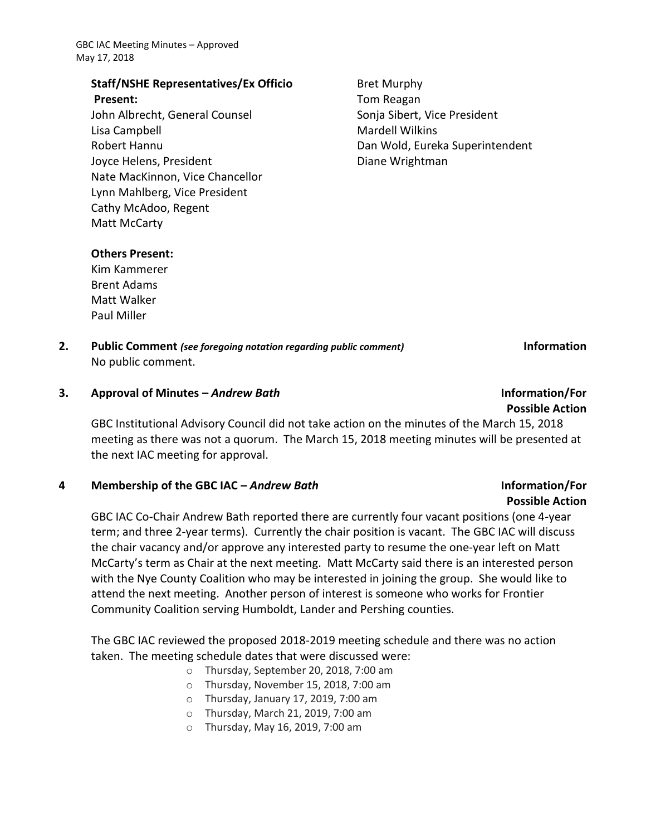GBC IAC Meeting Minutes – Approved May 17, 2018

#### **Staff/NSHE Representatives/Ex Officio Present:**

John Albrecht, General Counsel Lisa Campbell Robert Hannu Joyce Helens, President Nate MacKinnon, Vice Chancellor Lynn Mahlberg, Vice President Cathy McAdoo, Regent Matt McCarty

Bret Murphy Tom Reagan Sonja Sibert, Vice President Mardell Wilkins Dan Wold, Eureka Superintendent Diane Wrightman

### **Others Present:**

Kim Kammerer Brent Adams Matt Walker Paul Miller

**2. Public Comment** *(see foregoing notation regarding public comment)* **Information** No public comment.

**Possible Action**

### **3. Approval of Minutes –** *Andrew Bath* **Information/For**

GBC Institutional Advisory Council did not take action on the minutes of the March 15, 2018 meeting as there was not a quorum. The March 15, 2018 meeting minutes will be presented at the next IAC meeting for approval.

#### **4 Membership of the GBC IAC –** *Andrew Bath* **Information/For**

### GBC IAC Co-Chair Andrew Bath reported there are currently four vacant positions (one 4-year term; and three 2-year terms). Currently the chair position is vacant. The GBC IAC will discuss the chair vacancy and/or approve any interested party to resume the one-year left on Matt McCarty's term as Chair at the next meeting. Matt McCarty said there is an interested person with the Nye County Coalition who may be interested in joining the group. She would like to attend the next meeting. Another person of interest is someone who works for Frontier Community Coalition serving Humboldt, Lander and Pershing counties.

The GBC IAC reviewed the proposed 2018-2019 meeting schedule and there was no action taken. The meeting schedule dates that were discussed were:

- o Thursday, September 20, 2018, 7:00 am
- o Thursday, November 15, 2018, 7:00 am
- o Thursday, January 17, 2019, 7:00 am
- o Thursday, March 21, 2019, 7:00 am
- o Thursday, May 16, 2019, 7:00 am

# **Possible Action**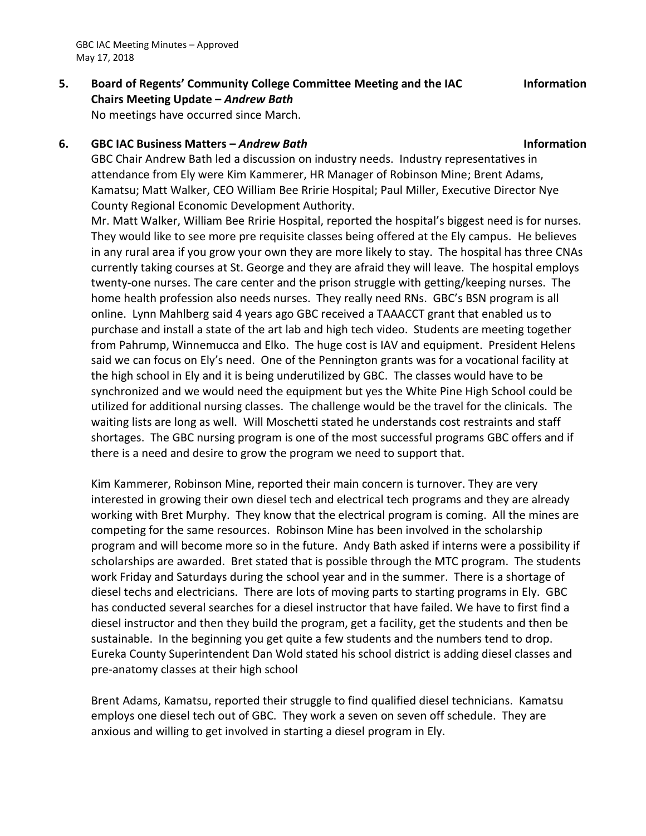GBC IAC Meeting Minutes – Approved May 17, 2018

## **5. Board of Regents' Community College Committee Meeting and the IAC Chairs Meeting Update –** *Andrew Bath*

### No meetings have occurred since March.

#### **6. GBC IAC Business Matters –** *Andrew Bath* **Information**

GBC Chair Andrew Bath led a discussion on industry needs. Industry representatives in attendance from Ely were Kim Kammerer, HR Manager of Robinson Mine; Brent Adams, Kamatsu; Matt Walker, CEO William Bee Rririe Hospital; Paul Miller, Executive Director Nye County Regional Economic Development Authority.

Mr. Matt Walker, William Bee Rririe Hospital, reported the hospital's biggest need is for nurses. They would like to see more pre requisite classes being offered at the Ely campus. He believes in any rural area if you grow your own they are more likely to stay. The hospital has three CNAs currently taking courses at St. George and they are afraid they will leave. The hospital employs twenty-one nurses. The care center and the prison struggle with getting/keeping nurses. The home health profession also needs nurses. They really need RNs. GBC's BSN program is all online. Lynn Mahlberg said 4 years ago GBC received a TAAACCT grant that enabled us to purchase and install a state of the art lab and high tech video. Students are meeting together from Pahrump, Winnemucca and Elko. The huge cost is IAV and equipment. President Helens said we can focus on Ely's need. One of the Pennington grants was for a vocational facility at the high school in Ely and it is being underutilized by GBC. The classes would have to be synchronized and we would need the equipment but yes the White Pine High School could be utilized for additional nursing classes. The challenge would be the travel for the clinicals. The waiting lists are long as well. Will Moschetti stated he understands cost restraints and staff shortages. The GBC nursing program is one of the most successful programs GBC offers and if there is a need and desire to grow the program we need to support that.

Kim Kammerer, Robinson Mine, reported their main concern is turnover. They are very interested in growing their own diesel tech and electrical tech programs and they are already working with Bret Murphy. They know that the electrical program is coming. All the mines are competing for the same resources. Robinson Mine has been involved in the scholarship program and will become more so in the future. Andy Bath asked if interns were a possibility if scholarships are awarded. Bret stated that is possible through the MTC program. The students work Friday and Saturdays during the school year and in the summer. There is a shortage of diesel techs and electricians. There are lots of moving parts to starting programs in Ely. GBC has conducted several searches for a diesel instructor that have failed. We have to first find a diesel instructor and then they build the program, get a facility, get the students and then be sustainable. In the beginning you get quite a few students and the numbers tend to drop. Eureka County Superintendent Dan Wold stated his school district is adding diesel classes and pre-anatomy classes at their high school

Brent Adams, Kamatsu, reported their struggle to find qualified diesel technicians. Kamatsu employs one diesel tech out of GBC. They work a seven on seven off schedule. They are anxious and willing to get involved in starting a diesel program in Ely.

**Information**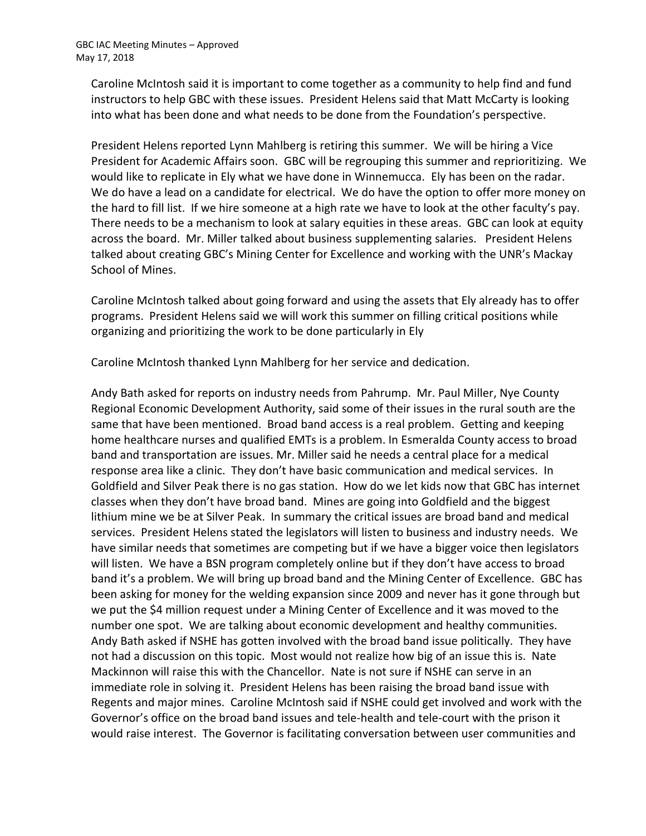Caroline McIntosh said it is important to come together as a community to help find and fund instructors to help GBC with these issues. President Helens said that Matt McCarty is looking into what has been done and what needs to be done from the Foundation's perspective.

President Helens reported Lynn Mahlberg is retiring this summer. We will be hiring a Vice President for Academic Affairs soon. GBC will be regrouping this summer and reprioritizing. We would like to replicate in Ely what we have done in Winnemucca. Ely has been on the radar. We do have a lead on a candidate for electrical. We do have the option to offer more money on the hard to fill list. If we hire someone at a high rate we have to look at the other faculty's pay. There needs to be a mechanism to look at salary equities in these areas. GBC can look at equity across the board. Mr. Miller talked about business supplementing salaries. President Helens talked about creating GBC's Mining Center for Excellence and working with the UNR's Mackay School of Mines.

Caroline McIntosh talked about going forward and using the assets that Ely already has to offer programs. President Helens said we will work this summer on filling critical positions while organizing and prioritizing the work to be done particularly in Ely

Caroline McIntosh thanked Lynn Mahlberg for her service and dedication.

Andy Bath asked for reports on industry needs from Pahrump. Mr. Paul Miller, Nye County Regional Economic Development Authority, said some of their issues in the rural south are the same that have been mentioned. Broad band access is a real problem. Getting and keeping home healthcare nurses and qualified EMTs is a problem. In Esmeralda County access to broad band and transportation are issues. Mr. Miller said he needs a central place for a medical response area like a clinic. They don't have basic communication and medical services. In Goldfield and Silver Peak there is no gas station. How do we let kids now that GBC has internet classes when they don't have broad band. Mines are going into Goldfield and the biggest lithium mine we be at Silver Peak. In summary the critical issues are broad band and medical services. President Helens stated the legislators will listen to business and industry needs. We have similar needs that sometimes are competing but if we have a bigger voice then legislators will listen. We have a BSN program completely online but if they don't have access to broad band it's a problem. We will bring up broad band and the Mining Center of Excellence. GBC has been asking for money for the welding expansion since 2009 and never has it gone through but we put the \$4 million request under a Mining Center of Excellence and it was moved to the number one spot. We are talking about economic development and healthy communities. Andy Bath asked if NSHE has gotten involved with the broad band issue politically. They have not had a discussion on this topic. Most would not realize how big of an issue this is. Nate Mackinnon will raise this with the Chancellor. Nate is not sure if NSHE can serve in an immediate role in solving it. President Helens has been raising the broad band issue with Regents and major mines. Caroline McIntosh said if NSHE could get involved and work with the Governor's office on the broad band issues and tele-health and tele-court with the prison it would raise interest. The Governor is facilitating conversation between user communities and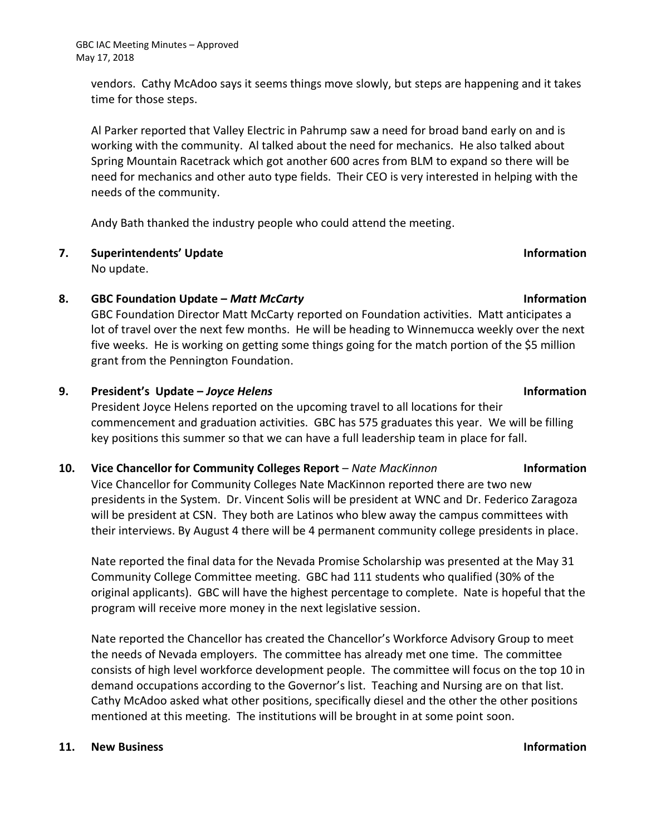vendors. Cathy McAdoo says it seems things move slowly, but steps are happening and it takes time for those steps.

Al Parker reported that Valley Electric in Pahrump saw a need for broad band early on and is working with the community. Al talked about the need for mechanics. He also talked about Spring Mountain Racetrack which got another 600 acres from BLM to expand so there will be need for mechanics and other auto type fields. Their CEO is very interested in helping with the needs of the community.

Andy Bath thanked the industry people who could attend the meeting.

# **7. Superintendents' Update Information**

No update.

### **8. GBC Foundation Update –** *Matt McCarty* **Information**

GBC Foundation Director Matt McCarty reported on Foundation activities. Matt anticipates a lot of travel over the next few months. He will be heading to Winnemucca weekly over the next five weeks. He is working on getting some things going for the match portion of the \$5 million grant from the Pennington Foundation.

### **9. President's Update –** *Joyce Helens* **Information**

President Joyce Helens reported on the upcoming travel to all locations for their commencement and graduation activities. GBC has 575 graduates this year. We will be filling key positions this summer so that we can have a full leadership team in place for fall.

#### **10. Vice Chancellor for Community Colleges Report** – *Nate MacKinnon* **Information**

Vice Chancellor for Community Colleges Nate MacKinnon reported there are two new presidents in the System. Dr. Vincent Solis will be president at WNC and Dr. Federico Zaragoza will be president at CSN. They both are Latinos who blew away the campus committees with their interviews. By August 4 there will be 4 permanent community college presidents in place.

Nate reported the final data for the Nevada Promise Scholarship was presented at the May 31 Community College Committee meeting. GBC had 111 students who qualified (30% of the original applicants). GBC will have the highest percentage to complete. Nate is hopeful that the program will receive more money in the next legislative session.

Nate reported the Chancellor has created the Chancellor's Workforce Advisory Group to meet the needs of Nevada employers. The committee has already met one time. The committee consists of high level workforce development people. The committee will focus on the top 10 in demand occupations according to the Governor's list. Teaching and Nursing are on that list. Cathy McAdoo asked what other positions, specifically diesel and the other the other positions mentioned at this meeting. The institutions will be brought in at some point soon.

#### **11. New Business Information**